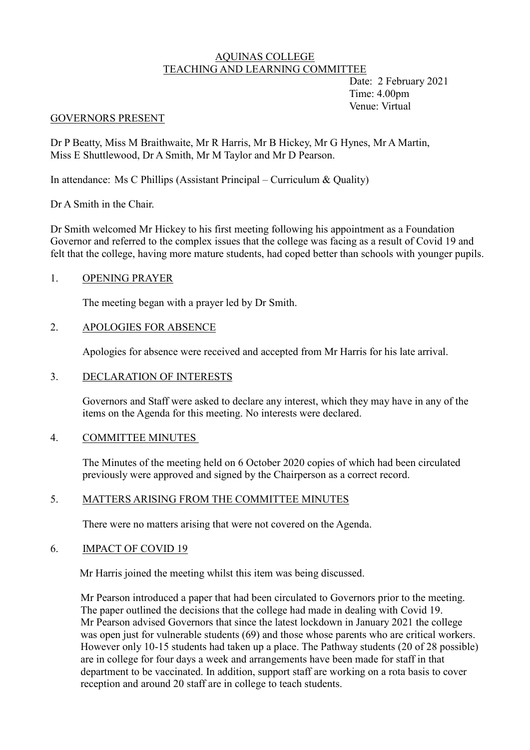# AQUINAS COLLEGE TEACHING AND LEARNING COMMITTEE

 Date: 2 February 2021 Time: 4.00pm Venue: Virtual

#### GOVERNORS PRESENT

Dr P Beatty, Miss M Braithwaite, Mr R Harris, Mr B Hickey, Mr G Hynes, Mr A Martin, Miss E Shuttlewood, Dr A Smith, Mr M Taylor and Mr D Pearson.

In attendance: Ms C Phillips (Assistant Principal – Curriculum & Quality)

Dr A Smith in the Chair.

Dr Smith welcomed Mr Hickey to his first meeting following his appointment as a Foundation Governor and referred to the complex issues that the college was facing as a result of Covid 19 and felt that the college, having more mature students, had coped better than schools with younger pupils.

# 1. OPENING PRAYER

The meeting began with a prayer led by Dr Smith.

# 2. APOLOGIES FOR ABSENCE

Apologies for absence were received and accepted from Mr Harris for his late arrival.

## 3. DECLARATION OF INTERESTS

Governors and Staff were asked to declare any interest, which they may have in any of the items on the Agenda for this meeting. No interests were declared.

## 4. COMMITTEE MINUTES

The Minutes of the meeting held on 6 October 2020 copies of which had been circulated previously were approved and signed by the Chairperson as a correct record.

## 5. MATTERS ARISING FROM THE COMMITTEE MINUTES

There were no matters arising that were not covered on the Agenda.

## 6. IMPACT OF COVID 19

Mr Harris joined the meeting whilst this item was being discussed.

Mr Pearson introduced a paper that had been circulated to Governors prior to the meeting. The paper outlined the decisions that the college had made in dealing with Covid 19. Mr Pearson advised Governors that since the latest lockdown in January 2021 the college was open just for vulnerable students (69) and those whose parents who are critical workers. However only 10-15 students had taken up a place. The Pathway students (20 of 28 possible) are in college for four days a week and arrangements have been made for staff in that department to be vaccinated. In addition, support staff are working on a rota basis to cover reception and around 20 staff are in college to teach students.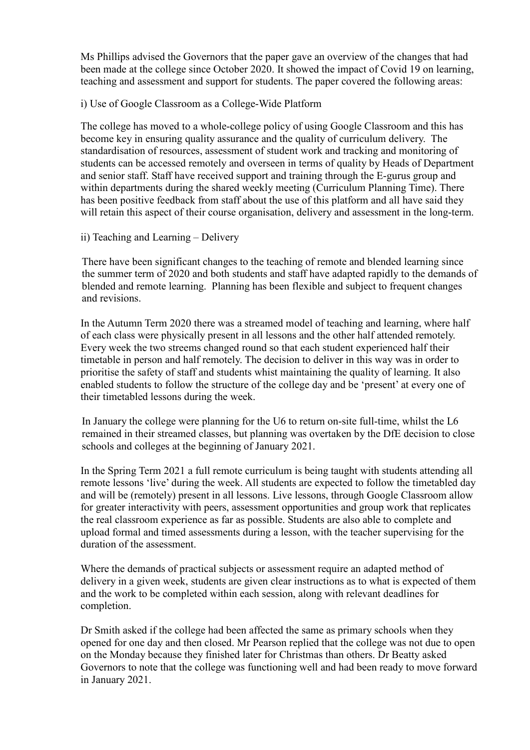Ms Phillips advised the Governors that the paper gave an overview of the changes that had been made at the college since October 2020. It showed the impact of Covid 19 on learning, teaching and assessment and support for students. The paper covered the following areas:

i) Use of Google Classroom as a College-Wide Platform

The college has moved to a whole-college policy of using Google Classroom and this has become key in ensuring quality assurance and the quality of curriculum delivery. The standardisation of resources, assessment of student work and tracking and monitoring of students can be accessed remotely and overseen in terms of quality by Heads of Department and senior staff. Staff have received support and training through the E-gurus group and within departments during the shared weekly meeting (Curriculum Planning Time). There has been positive feedback from staff about the use of this platform and all have said they will retain this aspect of their course organisation, delivery and assessment in the long-term.

ii) Teaching and Learning – Delivery

There have been significant changes to the teaching of remote and blended learning since the summer term of 2020 and both students and staff have adapted rapidly to the demands of blended and remote learning. Planning has been flexible and subject to frequent changes and revisions.

In the Autumn Term 2020 there was a streamed model of teaching and learning, where half of each class were physically present in all lessons and the other half attended remotely. Every week the two streems changed round so that each student experienced half their timetable in person and half remotely. The decision to deliver in this way was in order to prioritise the safety of staff and students whist maintaining the quality of learning. It also enabled students to follow the structure of the college day and be 'present' at every one of their timetabled lessons during the week.

In January the college were planning for the U6 to return on-site full-time, whilst the L6 remained in their streamed classes, but planning was overtaken by the DfE decision to close schools and colleges at the beginning of January 2021.

In the Spring Term 2021 a full remote curriculum is being taught with students attending all remote lessons 'live' during the week. All students are expected to follow the timetabled day and will be (remotely) present in all lessons. Live lessons, through Google Classroom allow for greater interactivity with peers, assessment opportunities and group work that replicates the real classroom experience as far as possible. Students are also able to complete and upload formal and timed assessments during a lesson, with the teacher supervising for the duration of the assessment.

Where the demands of practical subjects or assessment require an adapted method of delivery in a given week, students are given clear instructions as to what is expected of them and the work to be completed within each session, along with relevant deadlines for completion.

Dr Smith asked if the college had been affected the same as primary schools when they opened for one day and then closed. Mr Pearson replied that the college was not due to open on the Monday because they finished later for Christmas than others. Dr Beatty asked Governors to note that the college was functioning well and had been ready to move forward in January 2021.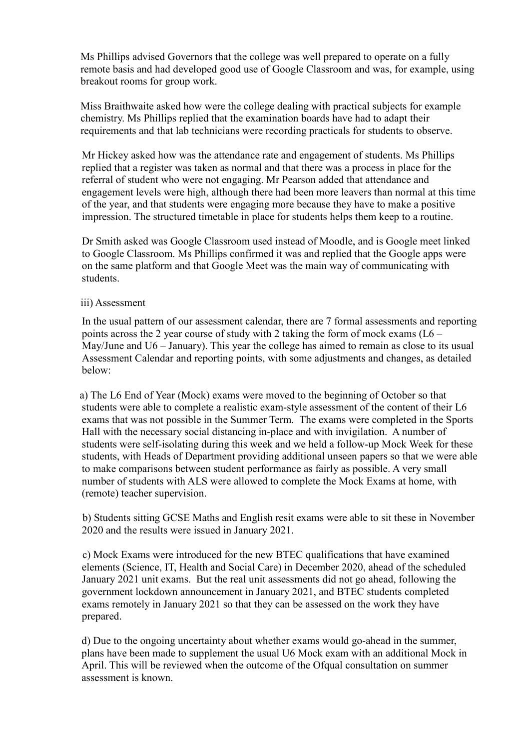Ms Phillips advised Governors that the college was well prepared to operate on a fully remote basis and had developed good use of Google Classroom and was, for example, using breakout rooms for group work.

Miss Braithwaite asked how were the college dealing with practical subjects for example chemistry. Ms Phillips replied that the examination boards have had to adapt their requirements and that lab technicians were recording practicals for students to observe.

Mr Hickey asked how was the attendance rate and engagement of students. Ms Phillips replied that a register was taken as normal and that there was a process in place for the referral of student who were not engaging. Mr Pearson added that attendance and engagement levels were high, although there had been more leavers than normal at this time of the year, and that students were engaging more because they have to make a positive impression. The structured timetable in place for students helps them keep to a routine.

Dr Smith asked was Google Classroom used instead of Moodle, and is Google meet linked to Google Classroom. Ms Phillips confirmed it was and replied that the Google apps were on the same platform and that Google Meet was the main way of communicating with students.

#### iii) Assessment

In the usual pattern of our assessment calendar, there are 7 formal assessments and reporting points across the 2 year course of study with 2 taking the form of mock exams (L6 – May/June and U6 – January). This year the college has aimed to remain as close to its usual Assessment Calendar and reporting points, with some adjustments and changes, as detailed below:

 a) The L6 End of Year (Mock) exams were moved to the beginning of October so that students were able to complete a realistic exam-style assessment of the content of their L6 exams that was not possible in the Summer Term. The exams were completed in the Sports Hall with the necessary social distancing in-place and with invigilation. A number of students were self-isolating during this week and we held a follow-up Mock Week for these students, with Heads of Department providing additional unseen papers so that we were able to make comparisons between student performance as fairly as possible. A very small number of students with ALS were allowed to complete the Mock Exams at home, with (remote) teacher supervision.

 b) Students sitting GCSE Maths and English resit exams were able to sit these in November 2020 and the results were issued in January 2021.

 c) Mock Exams were introduced for the new BTEC qualifications that have examined elements (Science, IT, Health and Social Care) in December 2020, ahead of the scheduled January 2021 unit exams. But the real unit assessments did not go ahead, following the government lockdown announcement in January 2021, and BTEC students completed exams remotely in January 2021 so that they can be assessed on the work they have prepared.

d) Due to the ongoing uncertainty about whether exams would go-ahead in the summer, plans have been made to supplement the usual U6 Mock exam with an additional Mock in April. This will be reviewed when the outcome of the Ofqual consultation on summer assessment is known.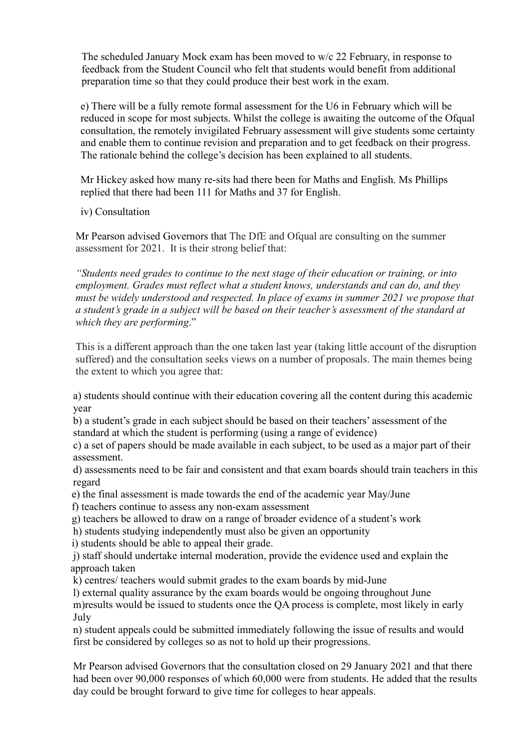The scheduled January Mock exam has been moved to w/c 22 February, in response to feedback from the Student Council who felt that students would benefit from additional preparation time so that they could produce their best work in the exam.

e) There will be a fully remote formal assessment for the U6 in February which will be reduced in scope for most subjects. Whilst the college is awaiting the outcome of the Ofqual consultation, the remotely invigilated February assessment will give students some certainty and enable them to continue revision and preparation and to get feedback on their progress. The rationale behind the college's decision has been explained to all students.

Mr Hickey asked how many re-sits had there been for Maths and English. Ms Phillips replied that there had been 111 for Maths and 37 for English.

iv) Consultation

Mr Pearson advised Governors that The DfE and Ofqual are consulting on the summer assessment for 2021. It is their strong belief that:

*"Students need grades to continue to the next stage of their education or training, or into employment. Grades must reflect what a student knows, understands and can do, and they must be widely understood and respected. In place of exams in summer 2021 we propose that a student's grade in a subject will be based on their teacher's assessment of the standard at which they are performing*."

This is a different approach than the one taken last year (taking little account of the disruption suffered) and the consultation seeks views on a number of proposals. The main themes being the extent to which you agree that:

a) students should continue with their education covering all the content during this academic year

b) a student's grade in each subject should be based on their teachers' assessment of the standard at which the student is performing (using a range of evidence)

c) a set of papers should be made available in each subject, to be used as a major part of their assessment.

d) assessments need to be fair and consistent and that exam boards should train teachers in this regard

e) the final assessment is made towards the end of the academic year May/June

f) teachers continue to assess any non-exam assessment

g) teachers be allowed to draw on a range of broader evidence of a student's work

h) students studying independently must also be given an opportunity

i) students should be able to appeal their grade.

j) staff should undertake internal moderation, provide the evidence used and explain the approach taken

k) centres/ teachers would submit grades to the exam boards by mid-June

l) external quality assurance by the exam boards would be ongoing throughout June m)results would be issued to students once the QA process is complete, most likely in early July

n) student appeals could be submitted immediately following the issue of results and would first be considered by colleges so as not to hold up their progressions.

Mr Pearson advised Governors that the consultation closed on 29 January 2021 and that there had been over 90,000 responses of which 60,000 were from students. He added that the results day could be brought forward to give time for colleges to hear appeals.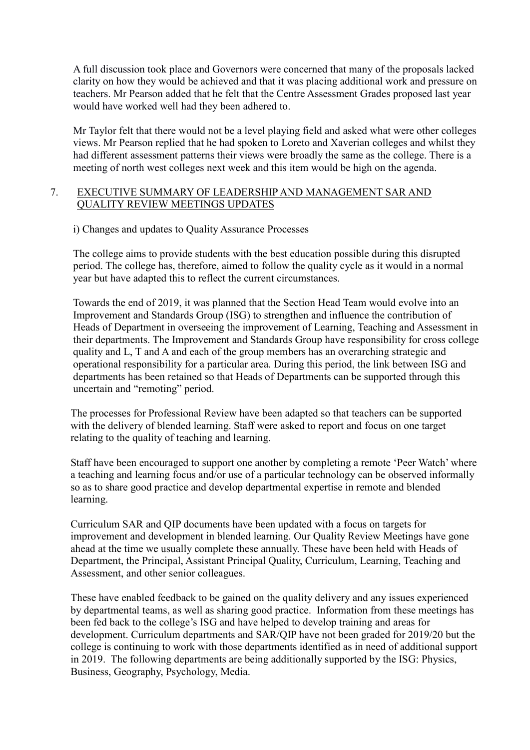A full discussion took place and Governors were concerned that many of the proposals lacked clarity on how they would be achieved and that it was placing additional work and pressure on teachers. Mr Pearson added that he felt that the Centre Assessment Grades proposed last year would have worked well had they been adhered to.

Mr Taylor felt that there would not be a level playing field and asked what were other colleges views. Mr Pearson replied that he had spoken to Loreto and Xaverian colleges and whilst they had different assessment patterns their views were broadly the same as the college. There is a meeting of north west colleges next week and this item would be high on the agenda.

# 7. EXECUTIVE SUMMARY OF LEADERSHIP AND MANAGEMENT SAR AND QUALITY REVIEW MEETINGS UPDATES

i) Changes and updates to Quality Assurance Processes

The college aims to provide students with the best education possible during this disrupted period. The college has, therefore, aimed to follow the quality cycle as it would in a normal year but have adapted this to reflect the current circumstances.

Towards the end of 2019, it was planned that the Section Head Team would evolve into an Improvement and Standards Group (ISG) to strengthen and influence the contribution of Heads of Department in overseeing the improvement of Learning, Teaching and Assessment in their departments. The Improvement and Standards Group have responsibility for cross college quality and L, T and A and each of the group members has an overarching strategic and operational responsibility for a particular area. During this period, the link between ISG and departments has been retained so that Heads of Departments can be supported through this uncertain and "remoting" period.

The processes for Professional Review have been adapted so that teachers can be supported with the delivery of blended learning. Staff were asked to report and focus on one target relating to the quality of teaching and learning.

Staff have been encouraged to support one another by completing a remote 'Peer Watch' where a teaching and learning focus and/or use of a particular technology can be observed informally so as to share good practice and develop departmental expertise in remote and blended learning.

Curriculum SAR and QIP documents have been updated with a focus on targets for improvement and development in blended learning. Our Quality Review Meetings have gone ahead at the time we usually complete these annually. These have been held with Heads of Department, the Principal, Assistant Principal Quality, Curriculum, Learning, Teaching and Assessment, and other senior colleagues.

These have enabled feedback to be gained on the quality delivery and any issues experienced by departmental teams, as well as sharing good practice. Information from these meetings has been fed back to the college's ISG and have helped to develop training and areas for development. Curriculum departments and SAR/QIP have not been graded for 2019/20 but the college is continuing to work with those departments identified as in need of additional support in 2019. The following departments are being additionally supported by the ISG: Physics, Business, Geography, Psychology, Media.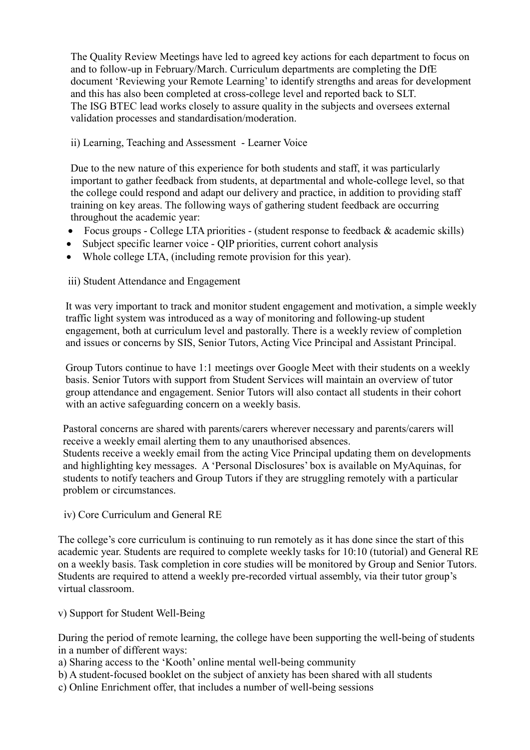The Quality Review Meetings have led to agreed key actions for each department to focus on and to follow-up in February/March. Curriculum departments are completing the DfE document 'Reviewing your Remote Learning' to identify strengths and areas for development and this has also been completed at cross-college level and reported back to SLT. The ISG BTEC lead works closely to assure quality in the subjects and oversees external validation processes and standardisation/moderation.

# ii) Learning, Teaching and Assessment - Learner Voice

Due to the new nature of this experience for both students and staff, it was particularly important to gather feedback from students, at departmental and whole-college level, so that the college could respond and adapt our delivery and practice, in addition to providing staff training on key areas. The following ways of gathering student feedback are occurring throughout the academic year:

- Focus groups College LTA priorities (student response to feedback & academic skills)
- Subject specific learner voice QIP priorities, current cohort analysis
- Whole college LTA, (including remote provision for this year).

# iii) Student Attendance and Engagement

It was very important to track and monitor student engagement and motivation, a simple weekly traffic light system was introduced as a way of monitoring and following-up student engagement, both at curriculum level and pastorally. There is a weekly review of completion and issues or concerns by SIS, Senior Tutors, Acting Vice Principal and Assistant Principal.

Group Tutors continue to have 1:1 meetings over Google Meet with their students on a weekly basis. Senior Tutors with support from Student Services will maintain an overview of tutor group attendance and engagement. Senior Tutors will also contact all students in their cohort with an active safeguarding concern on a weekly basis.

Pastoral concerns are shared with parents/carers wherever necessary and parents/carers will receive a weekly email alerting them to any unauthorised absences. Students receive a weekly email from the acting Vice Principal updating them on developments and highlighting key messages. A 'Personal Disclosures' box is available on MyAquinas, for students to notify teachers and Group Tutors if they are struggling remotely with a particular problem or circumstances.

iv) Core Curriculum and General RE

The college's core curriculum is continuing to run remotely as it has done since the start of this academic year. Students are required to complete weekly tasks for 10:10 (tutorial) and General RE on a weekly basis. Task completion in core studies will be monitored by Group and Senior Tutors. Students are required to attend a weekly pre-recorded virtual assembly, via their tutor group's virtual classroom.

## v) Support for Student Well-Being

During the period of remote learning, the college have been supporting the well-being of students in a number of different ways:

a) Sharing access to the 'Kooth' online mental well-being community

b) A student-focused booklet on the subject of anxiety has been shared with all students

c) Online Enrichment offer, that includes a number of well-being sessions